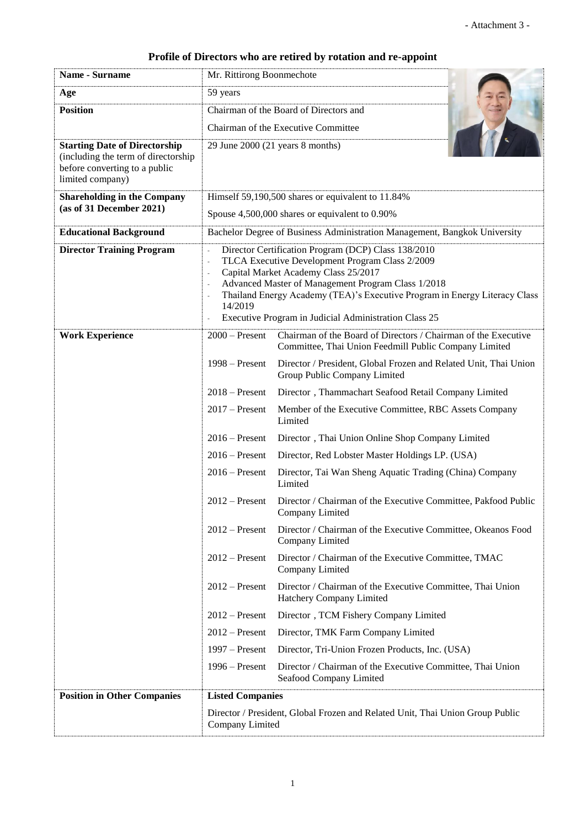## **Profile of Directors who are retired by rotation and re-appoint**

| Name - Surname                                                                                                                   | Mr. Rittirong Boonmechote                                                                                                                                                                                                                                                                                                                                    |                                                                                                                         |  |
|----------------------------------------------------------------------------------------------------------------------------------|--------------------------------------------------------------------------------------------------------------------------------------------------------------------------------------------------------------------------------------------------------------------------------------------------------------------------------------------------------------|-------------------------------------------------------------------------------------------------------------------------|--|
| Age                                                                                                                              | 59 years                                                                                                                                                                                                                                                                                                                                                     |                                                                                                                         |  |
| <b>Position</b>                                                                                                                  | Chairman of the Board of Directors and                                                                                                                                                                                                                                                                                                                       |                                                                                                                         |  |
|                                                                                                                                  | Chairman of the Executive Committee                                                                                                                                                                                                                                                                                                                          |                                                                                                                         |  |
| <b>Starting Date of Directorship</b><br>(including the term of directorship<br>before converting to a public<br>limited company) | 29 June 2000 (21 years 8 months)                                                                                                                                                                                                                                                                                                                             |                                                                                                                         |  |
| <b>Shareholding in the Company</b><br>(as of 31 December 2021)                                                                   | Himself 59,190,500 shares or equivalent to 11.84%                                                                                                                                                                                                                                                                                                            |                                                                                                                         |  |
|                                                                                                                                  | Spouse 4,500,000 shares or equivalent to 0.90%                                                                                                                                                                                                                                                                                                               |                                                                                                                         |  |
| <b>Educational Background</b>                                                                                                    | Bachelor Degree of Business Administration Management, Bangkok University                                                                                                                                                                                                                                                                                    |                                                                                                                         |  |
| <b>Director Training Program</b>                                                                                                 | Director Certification Program (DCP) Class 138/2010<br>TLCA Executive Development Program Class 2/2009<br>÷,<br>Capital Market Academy Class 25/2017<br>Advanced Master of Management Program Class 1/2018<br>Thailand Energy Academy (TEA)'s Executive Program in Energy Literacy Class<br>14/2019<br>Executive Program in Judicial Administration Class 25 |                                                                                                                         |  |
| <b>Work Experience</b>                                                                                                           | $2000 -$ Present                                                                                                                                                                                                                                                                                                                                             | Chairman of the Board of Directors / Chairman of the Executive<br>Committee, Thai Union Feedmill Public Company Limited |  |
|                                                                                                                                  | $1998 - Present$                                                                                                                                                                                                                                                                                                                                             | Director / President, Global Frozen and Related Unit, Thai Union<br>Group Public Company Limited                        |  |
|                                                                                                                                  | $2018 -$ Present                                                                                                                                                                                                                                                                                                                                             | Director, Thammachart Seafood Retail Company Limited                                                                    |  |
|                                                                                                                                  | $2017$ – Present                                                                                                                                                                                                                                                                                                                                             | Member of the Executive Committee, RBC Assets Company<br>Limited                                                        |  |
|                                                                                                                                  | $2016$ – Present<br>Director, Thai Union Online Shop Company Limited                                                                                                                                                                                                                                                                                         |                                                                                                                         |  |
|                                                                                                                                  | $2016$ – Present<br>Director, Red Lobster Master Holdings LP. (USA)                                                                                                                                                                                                                                                                                          |                                                                                                                         |  |
|                                                                                                                                  | $2016$ – Present                                                                                                                                                                                                                                                                                                                                             | Director, Tai Wan Sheng Aquatic Trading (China) Company<br>Limited                                                      |  |
|                                                                                                                                  | $2012$ – Present                                                                                                                                                                                                                                                                                                                                             | Director / Chairman of the Executive Committee, Pakfood Public<br>Company Limited                                       |  |
|                                                                                                                                  | $2012$ – Present                                                                                                                                                                                                                                                                                                                                             | Director / Chairman of the Executive Committee, Okeanos Food<br>Company Limited                                         |  |
|                                                                                                                                  | $2012$ – Present                                                                                                                                                                                                                                                                                                                                             | Director / Chairman of the Executive Committee, TMAC<br>Company Limited                                                 |  |
|                                                                                                                                  | $2012$ – Present                                                                                                                                                                                                                                                                                                                                             | Director / Chairman of the Executive Committee, Thai Union<br>Hatchery Company Limited                                  |  |
|                                                                                                                                  | $2012$ – Present                                                                                                                                                                                                                                                                                                                                             | Director, TCM Fishery Company Limited                                                                                   |  |
|                                                                                                                                  | $2012$ – Present                                                                                                                                                                                                                                                                                                                                             | Director, TMK Farm Company Limited                                                                                      |  |
|                                                                                                                                  | $1997 -$ Present                                                                                                                                                                                                                                                                                                                                             | Director, Tri-Union Frozen Products, Inc. (USA)                                                                         |  |
|                                                                                                                                  | $1996 -$ Present                                                                                                                                                                                                                                                                                                                                             | Director / Chairman of the Executive Committee, Thai Union<br>Seafood Company Limited                                   |  |
| <b>Position in Other Companies</b>                                                                                               | <b>Listed Companies</b>                                                                                                                                                                                                                                                                                                                                      |                                                                                                                         |  |
|                                                                                                                                  | Director / President, Global Frozen and Related Unit, Thai Union Group Public<br>Company Limited                                                                                                                                                                                                                                                             |                                                                                                                         |  |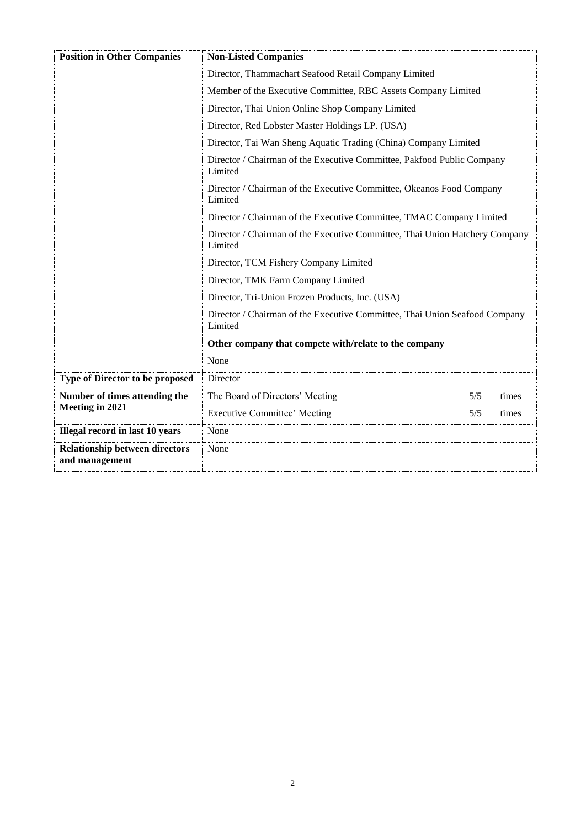| <b>Position in Other Companies</b>                      | <b>Non-Listed Companies</b>                                                                                                                                                                                                                                                                |     |       |
|---------------------------------------------------------|--------------------------------------------------------------------------------------------------------------------------------------------------------------------------------------------------------------------------------------------------------------------------------------------|-----|-------|
|                                                         | Director, Thammachart Seafood Retail Company Limited                                                                                                                                                                                                                                       |     |       |
|                                                         | Member of the Executive Committee, RBC Assets Company Limited                                                                                                                                                                                                                              |     |       |
|                                                         | Director, Thai Union Online Shop Company Limited                                                                                                                                                                                                                                           |     |       |
|                                                         | Director, Red Lobster Master Holdings LP. (USA)<br>Director, Tai Wan Sheng Aquatic Trading (China) Company Limited<br>Director / Chairman of the Executive Committee, Pakfood Public Company<br>Limited<br>Director / Chairman of the Executive Committee, Okeanos Food Company<br>Limited |     |       |
|                                                         |                                                                                                                                                                                                                                                                                            |     |       |
|                                                         |                                                                                                                                                                                                                                                                                            |     |       |
|                                                         |                                                                                                                                                                                                                                                                                            |     |       |
|                                                         | Director / Chairman of the Executive Committee, TMAC Company Limited                                                                                                                                                                                                                       |     |       |
|                                                         | Director / Chairman of the Executive Committee, Thai Union Hatchery Company<br>Limited<br>Director, TCM Fishery Company Limited                                                                                                                                                            |     |       |
|                                                         |                                                                                                                                                                                                                                                                                            |     |       |
|                                                         | Director, TMK Farm Company Limited<br>Director, Tri-Union Frozen Products, Inc. (USA)<br>Director / Chairman of the Executive Committee, Thai Union Seafood Company<br>Limited<br>Other company that compete with/relate to the company<br>None                                            |     |       |
|                                                         |                                                                                                                                                                                                                                                                                            |     |       |
|                                                         |                                                                                                                                                                                                                                                                                            |     |       |
|                                                         |                                                                                                                                                                                                                                                                                            |     |       |
|                                                         |                                                                                                                                                                                                                                                                                            |     |       |
| Type of Director to be proposed                         | Director                                                                                                                                                                                                                                                                                   |     |       |
| Number of times attending the                           | The Board of Directors' Meeting                                                                                                                                                                                                                                                            | 5/5 | times |
| Meeting in 2021                                         | <b>Executive Committee' Meeting</b>                                                                                                                                                                                                                                                        | 5/5 | times |
| Illegal record in last 10 years                         | None                                                                                                                                                                                                                                                                                       |     |       |
| <b>Relationship between directors</b><br>and management | None                                                                                                                                                                                                                                                                                       |     |       |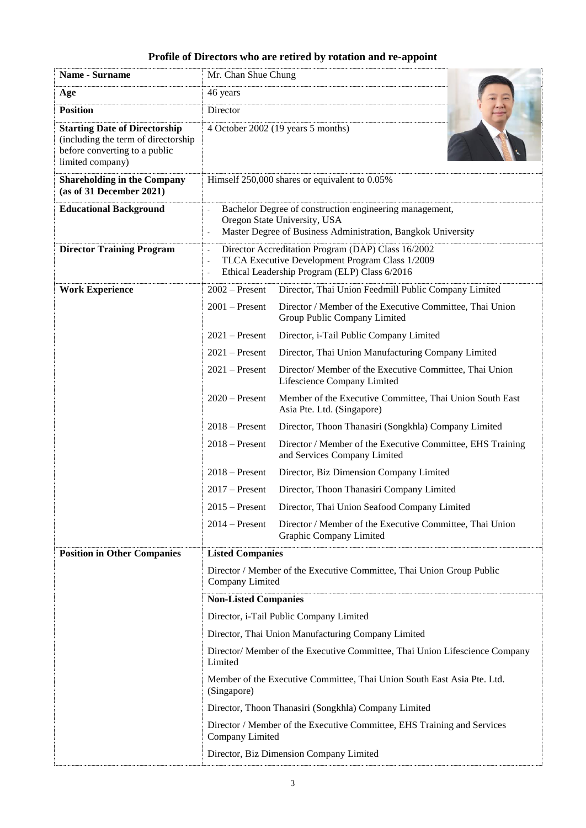## **Profile of Directors who are retired by rotation and re-appoint**

| Name - Surname                                                                                                                   | Mr. Chan Shue Chung                                                                                                                                     |                                                                                            |  |
|----------------------------------------------------------------------------------------------------------------------------------|---------------------------------------------------------------------------------------------------------------------------------------------------------|--------------------------------------------------------------------------------------------|--|
| Age                                                                                                                              | 46 years                                                                                                                                                |                                                                                            |  |
| <b>Position</b>                                                                                                                  | Director                                                                                                                                                |                                                                                            |  |
| <b>Starting Date of Directorship</b><br>(including the term of directorship<br>before converting to a public<br>limited company) | 4 October 2002 (19 years 5 months)                                                                                                                      |                                                                                            |  |
| <b>Shareholding in the Company</b><br>(as of 31 December 2021)                                                                   | Himself 250,000 shares or equivalent to 0.05%                                                                                                           |                                                                                            |  |
| <b>Educational Background</b>                                                                                                    | Bachelor Degree of construction engineering management,<br>Oregon State University, USA<br>Master Degree of Business Administration, Bangkok University |                                                                                            |  |
| <b>Director Training Program</b>                                                                                                 | Director Accreditation Program (DAP) Class 16/2002<br>TLCA Executive Development Program Class 1/2009<br>Ethical Leadership Program (ELP) Class 6/2016  |                                                                                            |  |
| <b>Work Experience</b>                                                                                                           | $2002 -$ Present                                                                                                                                        | Director, Thai Union Feedmill Public Company Limited                                       |  |
|                                                                                                                                  | $2001 -$ Present                                                                                                                                        | Director / Member of the Executive Committee, Thai Union<br>Group Public Company Limited   |  |
|                                                                                                                                  | $2021$ – Present                                                                                                                                        | Director, i-Tail Public Company Limited                                                    |  |
|                                                                                                                                  | $2021$ – Present                                                                                                                                        | Director, Thai Union Manufacturing Company Limited                                         |  |
|                                                                                                                                  | $2021$ – Present                                                                                                                                        | Director/ Member of the Executive Committee, Thai Union<br>Lifescience Company Limited     |  |
|                                                                                                                                  | $2020$ – Present                                                                                                                                        | Member of the Executive Committee, Thai Union South East<br>Asia Pte. Ltd. (Singapore)     |  |
|                                                                                                                                  | $2018 -$ Present                                                                                                                                        | Director, Thoon Thanasiri (Songkhla) Company Limited                                       |  |
|                                                                                                                                  | $2018 -$ Present                                                                                                                                        | Director / Member of the Executive Committee, EHS Training<br>and Services Company Limited |  |
|                                                                                                                                  | $2018 -$ Present                                                                                                                                        | Director, Biz Dimension Company Limited                                                    |  |
|                                                                                                                                  | $2017 -$ Present                                                                                                                                        | Director, Thoon Thanasiri Company Limited                                                  |  |
|                                                                                                                                  | $2015 -$ Present                                                                                                                                        | Director, Thai Union Seafood Company Limited                                               |  |
|                                                                                                                                  | $2014 -$ Present                                                                                                                                        | Director / Member of the Executive Committee, Thai Union<br>Graphic Company Limited        |  |
| <b>Position in Other Companies</b>                                                                                               | <b>Listed Companies</b>                                                                                                                                 |                                                                                            |  |
|                                                                                                                                  | Director / Member of the Executive Committee, Thai Union Group Public<br>Company Limited                                                                |                                                                                            |  |
|                                                                                                                                  | <b>Non-Listed Companies</b>                                                                                                                             |                                                                                            |  |
|                                                                                                                                  |                                                                                                                                                         | Director, i-Tail Public Company Limited                                                    |  |
|                                                                                                                                  | Director, Thai Union Manufacturing Company Limited                                                                                                      |                                                                                            |  |
|                                                                                                                                  | Director/ Member of the Executive Committee, Thai Union Lifescience Company<br>Limited                                                                  |                                                                                            |  |
|                                                                                                                                  | Member of the Executive Committee, Thai Union South East Asia Pte. Ltd.<br>(Singapore)                                                                  |                                                                                            |  |
|                                                                                                                                  |                                                                                                                                                         | Director, Thoon Thanasiri (Songkhla) Company Limited                                       |  |
|                                                                                                                                  | Director / Member of the Executive Committee, EHS Training and Services<br>Company Limited                                                              |                                                                                            |  |
|                                                                                                                                  | Director, Biz Dimension Company Limited                                                                                                                 |                                                                                            |  |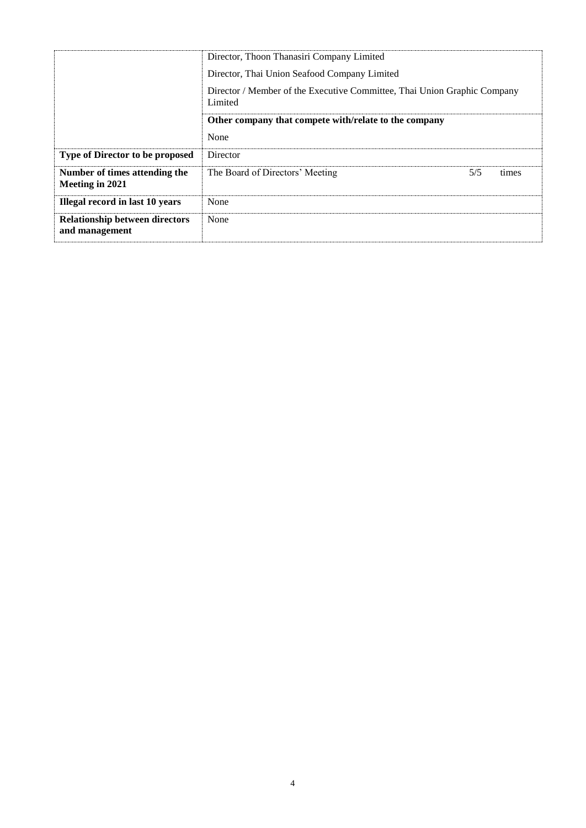|                                                         | Director, Thoon Thanasiri Company Limited<br>Director, Thai Union Seafood Company Limited<br>Director / Member of the Executive Committee, Thai Union Graphic Company<br>Limited |     |       |
|---------------------------------------------------------|----------------------------------------------------------------------------------------------------------------------------------------------------------------------------------|-----|-------|
|                                                         | Other company that compete with/relate to the company<br>None                                                                                                                    |     |       |
| <b>Type of Director to be proposed</b>                  | Director                                                                                                                                                                         |     |       |
| Number of times attending the<br>Meeting in 2021        | The Board of Directors' Meeting                                                                                                                                                  | 5/5 | times |
| Illegal record in last 10 years                         | None                                                                                                                                                                             |     |       |
| <b>Relationship between directors</b><br>and management | None                                                                                                                                                                             |     |       |